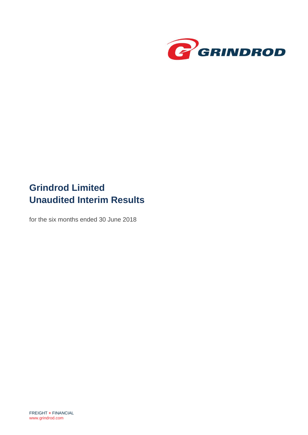

# **Grindrod Limited Unaudited Interim Results**

for the six months ended 30 June 2018

FREIGHT **+** FINANCIAL [www.grindrod.com](http://www.grindrod.com/)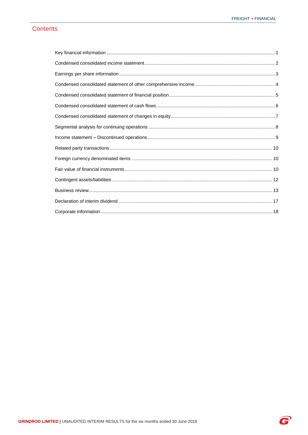P

### **Contents**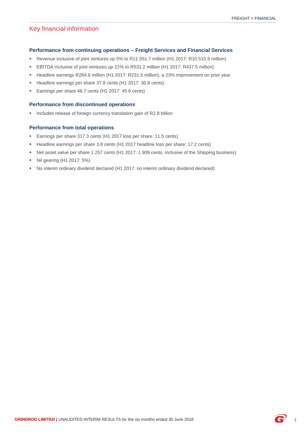### <span id="page-2-0"></span>Key financial information

#### **Performance from continuing operations – Freight Services and Financial Services**

- Revenue inclusive of joint ventures up 5% to R11 051.7 million (H1 2017: R10 515.9 million)
- EBITDA inclusive of joint ventures up 21% to R531.2 million (H1 2017: R437.5 million)
- **Headline earnings R284.8 million (H1 2017: R231.5 million), a 23% improvement on prior year**
- Headline earnings per share 37.8 cents (H1 2017: 30.8 cents)
- Earnings per share 46.7 cents (H1 2017: 45.6 cents)

#### **Performance from discontinued operations**

**Includes release of foreign currency translation gain of R2.8 billion** 

#### **Performance from total operations**

- Earnings per share 317.3 cents (H1 2017 loss per share: 11.5 cents)
- Headline earnings per share 3.8 cents (H1 2017 headline loss per share: 17.2 cents)
- Net asset value per share 1 257 cents (H1 2017: 1 909 cents, inclusive of the Shipping business)
- **Nil gearing (H1 2017: 5%)**
- No interim ordinary dividend declared (H1 2017: no interim ordinary dividend declared)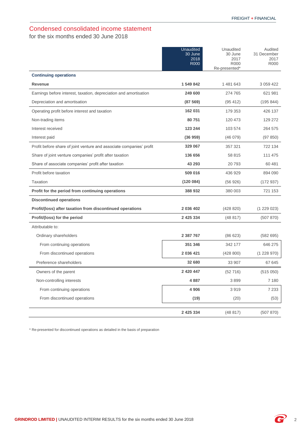### <span id="page-3-0"></span>Condensed consolidated income statement

for the six months ended 30 June 2018

|                                                                      | <b>Unaudited</b><br>30 June<br>2018<br><b>R000</b> | Unaudited<br>30 June<br>2017<br><b>R000</b><br>Re-presented* | Audited<br>31 December<br>2017<br>R000 |
|----------------------------------------------------------------------|----------------------------------------------------|--------------------------------------------------------------|----------------------------------------|
| <b>Continuing operations</b>                                         |                                                    |                                                              |                                        |
| <b>Revenue</b>                                                       | 1 549 842                                          | 1 481 643                                                    | 3 059 422                              |
| Earnings before interest, taxation, depreciation and amortisation    | 249 600                                            | 274 765                                                      | 621 981                                |
| Depreciation and amortisation                                        | (87569)                                            | (95 412)                                                     | (195844)                               |
| Operating profit before interest and taxation                        | 162 031                                            | 179 353                                                      | 426 137                                |
| Non-trading items                                                    | 80 751                                             | 120 473                                                      | 129 272                                |
| Interest received                                                    | 123 244                                            | 103 574                                                      | 264 575                                |
| Interest paid                                                        | (36959)                                            | (46079)                                                      | (97 850)                               |
| Profit before share of joint venture and associate companies' profit | 329 067                                            | 357 321                                                      | 722 134                                |
| Share of joint venture companies' profit after taxation              | 136 656                                            | 58 815                                                       | 111 475                                |
| Share of associate companies' profit after taxation                  | 43 293                                             | 20 793                                                       | 60 481                                 |
| Profit before taxation                                               | 509 016                                            | 436 929                                                      | 894 090                                |
| Taxation                                                             | (120084)                                           | (56926)                                                      | (172937)                               |
| Profit for the period from continuing operations                     | 388 932                                            | 380 003                                                      | 721 153                                |
| <b>Discontinued operations</b>                                       |                                                    |                                                              |                                        |
| Profit/(loss) after taxation from discontinued operations            | 2 036 402                                          | (428820)                                                     | (1 229 023)                            |
| Profit/(loss) for the period                                         | 2 425 334                                          | (48817)                                                      | (507 870)                              |
| Attributable to:                                                     |                                                    |                                                              |                                        |
| Ordinary shareholders                                                | 2 387 767                                          | (86623)                                                      | (582695)                               |
| From continuing operations                                           | 351 346                                            | 342 177                                                      | 646 275                                |
| From discontinued operations                                         | 2 036 421                                          | (428 800)                                                    | (1228970)                              |
| Preference shareholders                                              | 32 680                                             | 33 907                                                       | 67 645                                 |
| Owners of the parent                                                 | 2 420 447                                          | (52716)                                                      | (515050)                               |
| Non-controlling interests                                            | 4887                                               | 3899                                                         | 7 180                                  |
| From continuing operations                                           | 4 9 0 6                                            | 3919                                                         | 7 2 3 3                                |
| From discontinued operations                                         | (19)                                               | (20)                                                         | (53)                                   |
|                                                                      | 2 4 2 5 3 3 4                                      | (48817)                                                      | (507 870)                              |
|                                                                      |                                                    |                                                              |                                        |

\* Re-presented for discontinued operations as detailed in the basis of preparation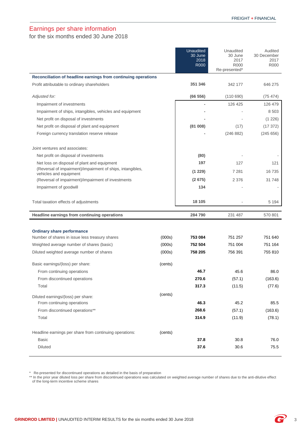### <span id="page-4-0"></span>Earnings per share information

for the six months ended 30 June 2018

|                                                                                      |         | <b>Unaudited</b><br>30 June<br>2018<br><b>R000</b> | Unaudited<br>30 June<br>2017<br>R000<br>Re-presented* | Audited<br>30 December<br>2017<br>R000 |
|--------------------------------------------------------------------------------------|---------|----------------------------------------------------|-------------------------------------------------------|----------------------------------------|
| Reconciliation of headline earnings from continuing operations                       |         |                                                    |                                                       |                                        |
| Profit attributable to ordinary shareholders                                         |         | 351 346                                            | 342 177                                               | 646 275                                |
| Adjusted for:                                                                        |         | (66556)                                            | (110690)                                              | (75, 474)                              |
| Impairment of investments                                                            |         |                                                    | 126 425                                               | 126 479                                |
| Impairment of ships, intangibles, vehicles and equipment                             |         |                                                    |                                                       | 8 5 0 3                                |
| Net profit on disposal of investments                                                |         |                                                    |                                                       | (1 226)                                |
| Net profit on disposal of plant and equipment                                        |         | (81008)                                            | (17)                                                  | (17372)                                |
| Foreign currency translation reserve release                                         |         |                                                    | (246 882)                                             | (245656)                               |
| Joint ventures and associates:                                                       |         |                                                    |                                                       |                                        |
| Net profit on disposal of investments                                                |         | (80)                                               |                                                       |                                        |
| Net loss on disposal of plant and equipment                                          |         | 197                                                | 127                                                   | 121                                    |
| (Reversal of impairment)/impairment of ships, intangibles,<br>vehicles and equipment |         | (1 229)                                            | 7 2 8 1                                               | 16 735                                 |
| (Reversal of impairment)/impairment of investments                                   |         | (2675)                                             | 2 3 7 6                                               | 31 748                                 |
| Impairment of goodwill                                                               |         | 134                                                |                                                       |                                        |
| Total taxation effects of adjustments                                                |         | 18 105                                             |                                                       | 5 1 9 4                                |
| Headline earnings from continuing operations                                         |         | 284790                                             | 231 487                                               | 570 801                                |
|                                                                                      |         |                                                    |                                                       |                                        |
| <b>Ordinary share performance</b>                                                    |         |                                                    |                                                       |                                        |
| Number of shares in issue less treasury shares                                       | (000s)  | 753 084                                            | 751 257                                               | 751 640                                |
| Weighted average number of shares (basic)                                            | (000s)  | 752 504                                            | 751 004                                               | 751 164                                |
| Diluted weighted average number of shares                                            | (000s)  | 758 205                                            | 756 391                                               | 755 810                                |
| Basic earnings/(loss) per share:                                                     | (cents) |                                                    |                                                       |                                        |
| From continuing operations                                                           |         | 46.7                                               | 45.6                                                  | 86.0                                   |
| From discontinued operations                                                         |         | 270.6                                              | (57.1)                                                | (163.6)                                |
| Total                                                                                |         | 317.3                                              | (11.5)                                                | (77.6)                                 |
| Diluted earnings/(loss) per share:                                                   | (cents) |                                                    |                                                       |                                        |
| From continuing operations                                                           |         | 46.3                                               | 45.2                                                  | 85.5                                   |
| From discontinued operations**                                                       |         | 268.6                                              | (57.1)                                                | (163.6)                                |
| Total                                                                                |         | 314.9                                              | (11.9)                                                | (78.1)                                 |
| Headline earnings per share from continuing operations:                              | (cents) |                                                    |                                                       |                                        |
| <b>Basic</b>                                                                         |         | 37.8                                               | 30.8                                                  | 76.0                                   |
| <b>Diluted</b>                                                                       |         | 37.6                                               | 30.6                                                  | 75.5                                   |

\* Re-presented for discontinued operations as detailed in the basis of preparation

\*\* In the prior year diluted loss per share from discontinued operations was calculated on weighted average number of shares due to the anti-dilutive effect of the long-term incentive scheme shares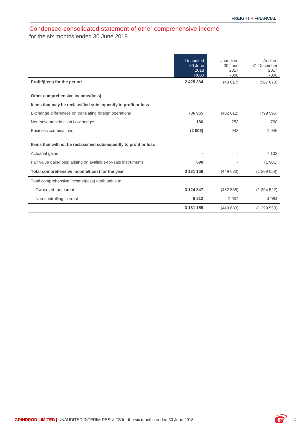### <span id="page-5-0"></span>Condensed consolidated statement of other comprehensive income for the six months ended 30 June 2018

|                                                                    | <b>Unaudited</b><br>30 June<br>2018<br><b>R000</b> | Unaudited<br>30 June<br>2017<br><b>R000</b> | Audited<br>31 December<br>2017<br><b>R000</b> |
|--------------------------------------------------------------------|----------------------------------------------------|---------------------------------------------|-----------------------------------------------|
| Profit/(loss) for the period                                       | 2 4 2 5 3 3 4                                      | (48817)                                     | (507 870)                                     |
| Other comprehensive income/(loss):                                 |                                                    |                                             |                                               |
| Items that may be reclassified subsequently to profit or loss      |                                                    |                                             |                                               |
| Exchange differences on translating foreign operations             | 706 955                                            | (402 012)                                   | (799 595)                                     |
| Net movement in cash flow hedges                                   | 186                                                | 253                                         | 760                                           |
| <b>Business combinations</b>                                       | (2 006)                                            | 943                                         | 1946                                          |
| Items that will not be reclassified subsequently to profit or loss |                                                    |                                             |                                               |
| Actuarial gains                                                    |                                                    |                                             | 7 102                                         |
| Fair value gain/(loss) arising on available-for-sale instruments   | 690                                                |                                             | (1901)                                        |
| Total comprehensive income/(loss) for the year                     | 3 131 159                                          | (449633)                                    | (1299558)                                     |
| Total comprehensive income/(loss) attributable to:                 |                                                    |                                             |                                               |
| Owners of the parent                                               | 3 124 847                                          | (452 535)                                   | (1304522)                                     |
| Non-controlling interest                                           | 6312                                               | 2 9 0 2                                     | 4 9 64                                        |
|                                                                    | 3 131 159                                          | (449633)                                    | (1299558)                                     |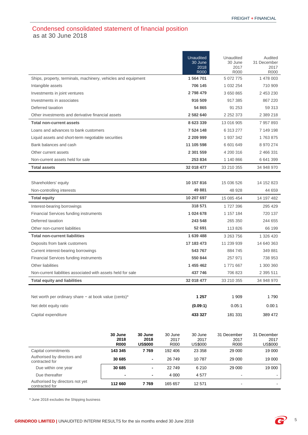### <span id="page-6-0"></span>Condensed consolidated statement of financial position as at 30 June 2018

|                                                               |                 |                          |                 | Unaudited<br>30 June<br>2018<br><b>R000</b> | Unaudited<br>30 June<br>2017<br><b>R000</b> | Audited<br>31 December<br>2017<br><b>R000</b> |
|---------------------------------------------------------------|-----------------|--------------------------|-----------------|---------------------------------------------|---------------------------------------------|-----------------------------------------------|
| Ships, property, terminals, machinery, vehicles and equipment |                 |                          |                 | 1 564 701                                   | 5 072 775                                   | 1 478 003                                     |
| Intangible assets                                             |                 |                          |                 | 706 145                                     | 1 0 3 2 2 5 4                               | 710 909                                       |
| Investments in joint ventures                                 |                 |                          |                 | 2798479                                     | 3 650 865                                   | 2 453 230                                     |
| Investments in associates                                     |                 |                          |                 | 916 509                                     | 917 385                                     | 867 220                                       |
| Deferred taxation                                             |                 |                          |                 | 54 865                                      | 91 253                                      | 59 313                                        |
| Other investments and derivative financial assets             |                 |                          |                 | 2 582 640                                   | 2 2 5 2 3 7 3                               | 2 389 218                                     |
| <b>Total non-current assets</b>                               |                 |                          |                 | 8 623 339                                   | 13 016 905                                  | 7 957 893                                     |
| Loans and advances to bank customers                          |                 |                          |                 | 7 524 148                                   | 6 313 277                                   | 7 149 198                                     |
| Liquid assets and short-term negotiable securities            |                 |                          |                 | 2 209 999                                   | 1 937 342                                   | 1763875                                       |
| Bank balances and cash                                        |                 |                          |                 | 11 105 598                                  | 6 601 649                                   | 8 970 274                                     |
| Other current assets                                          |                 |                          |                 | 2 301 559                                   | 4 200 316                                   | 2 466 331                                     |
| Non-current assets held for sale                              |                 |                          |                 | 253 834                                     | 1 140 866                                   | 6 641 399                                     |
| <b>Total assets</b>                                           |                 |                          |                 | 32 018 477                                  | 33 210 355                                  | 34 948 970                                    |
|                                                               |                 |                          |                 |                                             |                                             |                                               |
| Shareholders' equity                                          |                 |                          |                 | 10 157 816                                  | 15 036 526                                  | 14 152 823                                    |
| Non-controlling interests                                     |                 |                          |                 | 49 881                                      | 48 928                                      | 44 659                                        |
| <b>Total equity</b>                                           |                 |                          |                 | 10 207 697                                  | 15 085 454                                  | 14 197 482                                    |
| Interest-bearing borrowings                                   |                 |                          |                 | 318 571                                     | 1727396                                     | 295 429                                       |
| Financial Services funding instruments                        |                 |                          |                 | 1024678                                     | 1 157 184                                   | 720 137                                       |
| Deferred taxation                                             |                 |                          |                 | 243 548                                     | 265 350                                     | 244 655                                       |
| Other non-current liabilities                                 |                 |                          |                 | 52 691                                      | 113 826                                     | 66 199                                        |
| <b>Total non-current liabilities</b>                          |                 |                          |                 | 1 639 488                                   | 3 263 756                                   | 1 326 420                                     |
| Deposits from bank customers                                  |                 |                          |                 | 17 183 473                                  | 11 239 939                                  | 14 640 363                                    |
| Current interest-bearing borrowings                           |                 |                          |                 | 543 767                                     | 884 745                                     | 349 881                                       |
| <b>Financial Services funding instruments</b>                 |                 |                          |                 | 550 844                                     | 257 971                                     | 738 953                                       |
| <b>Other liabilities</b>                                      |                 |                          |                 | 1 455 462                                   | 1771667                                     | 1 300 360                                     |
| Non-current liabilities associated with assets held for sale  |                 |                          |                 | 437746                                      | 706 823                                     | 2 395 511                                     |
| <b>Total equity and liabilities</b>                           |                 |                          |                 | 32 018 477                                  | 33 210 355                                  | 34 948 970                                    |
|                                                               |                 |                          |                 |                                             |                                             |                                               |
| Net worth per ordinary share $-$ at book value (cents)*       |                 |                          |                 | 1 257                                       | 1 909                                       | 1790                                          |
| Net debt equity ratio                                         |                 |                          |                 | (0.09:1)                                    | 0.05:1                                      | 0.00:1                                        |
| Capital expenditure                                           |                 |                          |                 | 433 327                                     | 181 331                                     | 389 472                                       |
|                                                               |                 |                          |                 |                                             |                                             |                                               |
|                                                               |                 |                          |                 |                                             |                                             |                                               |
|                                                               | 30 June<br>2018 | 30 June<br>2018          | 30 June<br>2017 | 30 June<br>2017                             | 31 December<br>2017                         | 31 December<br>2017                           |
|                                                               | <b>R000</b>     | <b>US\$000</b>           | R000            | US\$000                                     | R000                                        | US\$000                                       |
| Capital commitments                                           | 143 345         | 7769                     | 192 406         | 23 358                                      | 29 000                                      | 19 000                                        |
| Authorised by directors and<br>contracted for                 | 30 685          |                          | 26 749          | 10787                                       | 29 000                                      | 19 000                                        |
| Due within one year                                           | 30 685          | $\overline{\phantom{0}}$ | 22749           | 6 2 1 0                                     | 29 000                                      | 19 000                                        |
| Due thereafter                                                |                 |                          | 4 0 0 0         | 4577                                        |                                             |                                               |
| Authorised by directors not yet<br>contracted for             | 112 660         | 7769                     | 165 657         | 12 571                                      |                                             |                                               |

\* June 2018 excludes the Shipping business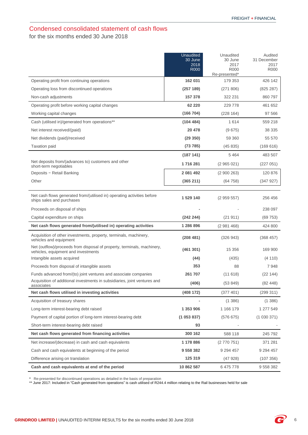## <span id="page-7-0"></span>Condensed consolidated statement of cash flows

for the six months ended 30 June 2018

|                                                                                                                | <b>Unaudited</b><br>30 June | Unaudited<br>30 June         | Audited<br>31 December |
|----------------------------------------------------------------------------------------------------------------|-----------------------------|------------------------------|------------------------|
|                                                                                                                | 2018                        | 2017                         | 2017                   |
|                                                                                                                | <b>R000</b>                 | <b>R000</b><br>Re-presented* | <b>R000</b>            |
| Operating profit from continuing operations                                                                    | 162 031                     | 179 353                      | 426 142                |
| Operating loss from discontinued operations                                                                    | (257 189)                   | (271806)                     | (825 287)              |
| Non-cash adjustments                                                                                           | 157 378                     | 322 231                      | 860 797                |
| Operating profit before working capital changes                                                                | 62 2 2 0                    | 229 778                      | 461 652                |
| Working capital changes                                                                                        | (166 704)                   | (228164)                     | 97 566                 |
| Cash (utilised in)/generated from operations**                                                                 | (104484)                    | 1614                         | 559 218                |
| Net interest received/(paid)                                                                                   | 20 478                      | (9675)                       | 38 335                 |
| Net dividends (paid)/received                                                                                  | (29 350)                    | 59 360                       | 55 570                 |
| <b>Taxation paid</b>                                                                                           | (73 785)                    | (45835)                      | (169616)               |
|                                                                                                                | (187141)                    | 5 4 6 4                      | 483 507                |
| Net deposits from/(advances to) customers and other<br>short-term negotiables                                  | 1716281                     | (2 965 021)                  | (227051)               |
| Deposits - Retail Banking                                                                                      | 2 081 492                   | (2900263)                    | 120 876                |
| Other                                                                                                          | (365 211)                   | (64758)                      | (347927)               |
|                                                                                                                |                             |                              |                        |
| Net cash flows generated from/(utilised in) operating activities before<br>ships sales and purchases           | 1 529 140                   | (2959557)                    | 256 456                |
| Proceeds on disposal of ships                                                                                  |                             |                              | 238 097                |
| Capital expenditure on ships                                                                                   | (242 244)                   | (21911)                      | (69753)                |
| Net cash flows generated from/(utilised in) operating activities                                               | 1 286 896                   | (2981468)                    | 424 800                |
| Acquisition of other investments, property, terminals, machinery,<br>vehicles and equipment                    | (208481)                    | (326943)                     | (368457)               |
| Net (outflow)/proceeds from disposal of property, terminals, machinery,<br>vehicles, equipment and investments | (461301)                    | 15 356                       | 169 900                |
| Intangible assets acquired                                                                                     | (44)                        | (435)                        | (4110)                 |
| Proceeds from disposal of intangible assets                                                                    | 353                         | 88                           | 7948                   |
| Funds advanced from/(to) joint ventures and associate companies                                                | 261 707                     | (11618)                      | (22144)                |
| Acquisition of additional investments in subsidiaries, joint ventures and<br>associates                        | (406)                       | (53 849)                     | (82448)                |
| Net cash flows utilised in investing activities                                                                | (408172)                    | (377 401)                    | (299311)               |
| Acquisition of treasury shares                                                                                 |                             | (1386)                       | (1386)                 |
| Long-term interest-bearing debt raised                                                                         | 1 353 906                   | 1 166 179                    | 1 277 549              |
| Payment of capital portion of long-term interest-bearing debt                                                  | (1053837)                   | (576675)                     | (1030371)              |
| Short-term interest-bearing debt raised                                                                        | 93                          |                              |                        |
| Net cash flows generated from financing activities                                                             | 300 162                     | 588 118                      | 245 792                |
| Net increase/(decrease) in cash and cash equivalents                                                           | 1 178 886                   | (2770751)                    | 371 281                |
| Cash and cash equivalents at beginning of the period                                                           | 9 558 382                   | 9 294 457                    | 9 2 9 4 4 5 7          |
| Difference arising on translation                                                                              | 125 319                     | (47928)                      | (107 356)              |
| Cash and cash equivalents at end of the period                                                                 | 10 862 587                  | 6 475 778                    | 9 558 382              |

\* Re-presented for discontinued operations as detailed in the basis of preparation

\*\* June 2017: Included in "Cash generated from operations" is cash utilised of R244.4 million relating to the Rail businesses held for sale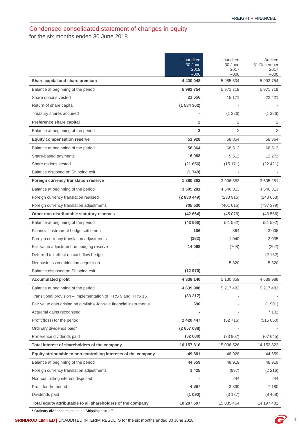### <span id="page-8-0"></span>Condensed consolidated statement of changes in equity for the six months ended 30 June 2018

|                                                                     | Unaudited<br>30 June<br>2018<br><b>R000</b> | Unaudited<br>30 June<br>2017<br><b>R000</b> | Audited<br>31 December<br>2017<br>R000 |
|---------------------------------------------------------------------|---------------------------------------------|---------------------------------------------|----------------------------------------|
| Share capital and share premium                                     | 4 430 048                                   | 5 985 504                                   | 5 992 754                              |
| Balance at beginning of the period                                  | 5 992 754                                   | 5 971 719                                   | 5 971 719                              |
| Share options vested                                                | 21 656                                      | 15 171                                      | 22 421                                 |
| Return of share capital                                             | (1584362)                                   |                                             |                                        |
| Treasury shares acquired                                            |                                             | (1, 386)                                    | (1386)                                 |
| Preference share capital                                            | $\overline{2}$                              | 2                                           | 2                                      |
| Balance at beginning of the period                                  | $\overline{2}$                              | $\overline{2}$                              | 2                                      |
| <b>Equity compensation reserve</b>                                  | 51 928                                      | 58 854                                      | 58 364                                 |
| Balance at beginning of the period                                  | 58 364                                      | 68 513                                      | 68 513                                 |
| Share-based payments                                                | 16 968                                      | 5512                                        | 12 272                                 |
| Share options vested                                                | (21656)                                     | (15171)                                     | (22 421)                               |
| Balance disposed on Shipping exit                                   | (1748)                                      |                                             |                                        |
| Foreign currency translation reserve                                | 1 380 362                                   | 3 906 383                                   | 3 505 281                              |
| Balance at beginning of the period                                  | 3 505 281                                   | 4 546 313                                   | 4 546 313                              |
| Foreign currency translation realised                               | (2830449)                                   | (238915)                                    | (243653)                               |
| Foreign currency translation adjustments                            | 705 530                                     | (401 015)                                   | (797 379)                              |
| Other non-distributable statutory reserves                          | (42664)                                     | (45076)                                     | (43566)                                |
| Balance at beginning of the period                                  | (43566)                                     | (51 592)                                    | (51 592)                               |
| Financial instrument hedge settlement                               | 186                                         | 864                                         | 3 0 0 5                                |
| Foreign currency translation adjustments                            | (382)                                       | 1 0 4 0                                     | 2 0 3 5                                |
| Fair value adjustment on hedging reserve                            | 14 068                                      | (708)                                       | (202)                                  |
| Deferred tax effect on cash flow hedge                              |                                             |                                             | (2 132)                                |
| Net business combination acquisition                                |                                             | 5 3 2 0                                     | 5 3 2 0                                |
| Balance disposed on Shipping exit                                   | (12970)                                     |                                             |                                        |
| <b>Accumulated profit</b>                                           | 4 338 140                                   | 5 130 859                                   | 4 639 988                              |
| Balance at beginning of the period                                  | 4 639 988                                   | 5 217 482                                   | 5 217 482                              |
| Transitional provision - implementation of IFRS 9 and IFRS 15       | (33 217)                                    |                                             |                                        |
| Fair value gain arising on available-for-sale financial instruments | 690                                         |                                             | (1901)                                 |
| Actuarial gains recognised                                          |                                             |                                             | 7 102                                  |
| Profit/(loss) for the period                                        | 2 4 2 0 4 4 7                               | (52716)                                     | (515050)                               |
| Ordinary dividends paid*                                            | (2657088)                                   |                                             |                                        |
| Preference dividends paid                                           | (32680)                                     | (33907)                                     | (67645)                                |
| Total interest of shareholders of the company                       | 10 157 816                                  | 15 036 526                                  | 14 152 823                             |
| Equity attributable to non-controlling interests of the company     | 49 881                                      | 48 928                                      | 44 659                                 |
| Balance at beginning of the period                                  | 44 659                                      | 48 919                                      | 48 919                                 |
| Foreign currency translation adjustments                            | 1 4 2 5                                     | (997)                                       | (2 216)                                |
| Non-controlling interest disposed                                   |                                             | 244                                         | 244                                    |
| Profit for the period                                               | 4 8 8 7                                     | 3899                                        | 7 180                                  |
| Dividends paid                                                      | (1 090)                                     | (3137)                                      | (9468)                                 |
| Total equity attributable to all shareholders of the company        | 10 207 697                                  | 15 085 454                                  | 14 197 482                             |

**\*** Ordinary dividends relate to the Shipping spin-off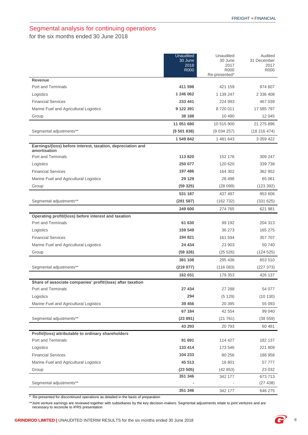## <span id="page-9-0"></span>Segmental analysis for continuing operations

for the six months ended 30 June 2018

|                                                                             | <b>Unaudited</b><br>30 June<br>2018<br><b>R000</b> | Unaudited<br>30 June<br>2017<br><b>R000</b><br>Re-presented* | Audited<br>31 December<br>2017<br>R000 |
|-----------------------------------------------------------------------------|----------------------------------------------------|--------------------------------------------------------------|----------------------------------------|
| Revenue                                                                     |                                                    |                                                              |                                        |
| Port and Terminals                                                          | 411 598                                            | 421 159                                                      | 874 607                                |
| Logistics                                                                   | 1 246 062                                          | 1 139 247                                                    | 2 336 408                              |
| <b>Financial Services</b>                                                   | 233 441                                            | 224 993                                                      | 467 039                                |
| Marine Fuel and Agricultural Logistics                                      | 9 122 391                                          | 8720011                                                      | 17 585 797                             |
| Group                                                                       | 38 188                                             | 10 490                                                       | 12 045                                 |
|                                                                             | 11 051 680                                         | 10 515 900                                                   | 21 275 896                             |
| Segmental adjustments**                                                     | (9501838)                                          | (9034257)                                                    | (18216474)                             |
|                                                                             | 1 549 842                                          | 1 481 643                                                    | 3 0 59 4 22                            |
| Earnings/(loss) before interest, taxation, depreciation and<br>amortisation |                                                    |                                                              |                                        |
| Port and Terminals                                                          | 113820                                             | 152 176                                                      | 309 247                                |
| Logistics                                                                   | 250 077                                            | 120 620                                                      | 339 738                                |
| <b>Financial Services</b>                                                   | 197 486                                            | 164 302                                                      | 362 952                                |
| Marine Fuel and Agricultural Logistics                                      | 29 1 29                                            | 28 4 98                                                      | 65 061                                 |
| Group                                                                       | (59325)                                            | (28099)                                                      | (123 392)                              |
|                                                                             | 531 187                                            | 437 497                                                      | 953 606                                |
| Segmental adjustments**                                                     | (281 587)                                          | (162 732)                                                    | (331625)                               |
|                                                                             | 249 600                                            | 274 765                                                      | 621 981                                |
| Operating profit/(loss) before interest and taxation                        |                                                    |                                                              |                                        |
| Port and Terminals                                                          | 61 630                                             | 99 192                                                       | 204 313                                |
| Logistics                                                                   | 159 549                                            | 36 273                                                       | 165 275                                |
| <b>Financial Services</b>                                                   | 194 821                                            | 161 594                                                      | 357 707                                |
| Marine Fuel and Agricultural Logistics                                      | 24 434                                             | 23 903                                                       | 50 740                                 |
| Group                                                                       | (59 326)                                           | (25 526)                                                     | (124525)                               |
|                                                                             | 381 108                                            | 295 436                                                      | 653 510                                |
| Segmental adjustments**                                                     | (219077)                                           | (116083)                                                     | (227 373)                              |
|                                                                             | 162 031                                            | 179 353                                                      | 426 137                                |
| Share of associate companies' profit/(loss) after taxation                  |                                                    |                                                              |                                        |
| Port and Terminals                                                          | 27 434                                             | 27 288                                                       | 54 077                                 |
| Logistics                                                                   | 294                                                | (5129)                                                       | (10130)                                |
| Marine Fuel and Agricultural Logistics                                      | 39 45 6                                            | 20 395                                                       | 55 093                                 |
|                                                                             | 67 184                                             | 42 5 54                                                      | 99 040                                 |
| Segmental adjustments**                                                     | (23891)                                            | (21761)                                                      | (38 559)                               |
|                                                                             | 43 293                                             | 20793                                                        | 60 481                                 |
| Profit/(loss) attributable to ordinary shareholders                         |                                                    |                                                              |                                        |
| Port and Terminals                                                          | 91 691                                             | 114 427                                                      | 182 137                                |
| Logistics                                                                   | 133 414                                            | 173 546                                                      | 221 809                                |
| <b>Financial Services</b>                                                   | 104 233                                            | 80 256                                                       | 188 958                                |
| Marine Fuel and Agricultural Logistics                                      | 45 513                                             | 16 801                                                       | 57 777                                 |
| Group                                                                       | (23 505)                                           | (42853)                                                      | 23 0 32                                |
| Segmental adjustments**                                                     | 351 346                                            | 342 177                                                      | 673 713<br>(27 438)                    |
|                                                                             | 351 346                                            | 342 177                                                      | 646 275                                |
|                                                                             |                                                    |                                                              |                                        |

\* Re-presented for discontinued operations as detailed in the basis of preparation

\*\*Joint venture earnings are reviewed together with subsidiaries by the key decision-makers. Segmental adjustments relate to joint ventures and are necessary to reconcile to IFRS presentation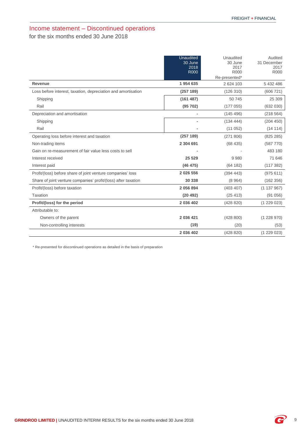### <span id="page-10-0"></span>Income statement – Discontinued operations for the six months ended 30 June 2018

|                                                                | <b>Unaudited</b><br>30 June | Unaudited<br>30 June | Audited<br>31 December |
|----------------------------------------------------------------|-----------------------------|----------------------|------------------------|
|                                                                | 2018<br><b>R000</b>         | 2017<br>R000         | 2017<br><b>R000</b>    |
|                                                                |                             | Re-presented*        |                        |
| <b>Revenue</b>                                                 | 1 954 635                   | 2 624 103            | 5 432 486              |
| Loss before interest, taxation, depreciation and amortisation  | (257 189)                   | (126310)             | (606 721)              |
| Shipping                                                       | (161 487)                   | 50 745               | 25 309                 |
| Rail                                                           | (95702)                     | (177055)             | (632 030)              |
| Depreciation and amortisation                                  |                             | (145496)             | (218564)               |
| Shipping                                                       |                             | (13444)              | (204 450)              |
| Rail                                                           |                             | (11052)              | (14 114)               |
| Operating loss before interest and taxation                    | (257 189)                   | (271806)             | (825 285)              |
| Non-trading items                                              | 2 304 691                   | (68435)              | (587 770)              |
| Gain on re-measurement of fair value less costs to sell        |                             |                      | 483 180                |
| Interest received                                              | 25 5 29                     | 9980                 | 71 646                 |
| Interest paid                                                  | (46 475)                    | (64 182)             | (117382)               |
| Profit/(loss) before share of joint venture companies' loss    | 2 026 556                   | (394 443)            | (975611)               |
| Share of joint venture companies' profit/(loss) after taxation | 30 338                      | (8964)               | (162 356)              |
| Profit/(loss) before taxation                                  | 2 056 894                   | (403 407)            | (1137967)              |
| Taxation                                                       | (20 492)                    | (25 413)             | (91056)                |
| Profit/(loss) for the period                                   | 2 036 402                   | (428 820)            | (1229023)              |
| Attributable to:                                               |                             |                      |                        |
| Owners of the parent                                           | 2 036 421                   | (428 800)            | (1228970)              |
| Non-controlling interests                                      | (19)                        | (20)                 | (53)                   |
|                                                                | 2 036 402                   | (428 820)            | (1229023)              |

\* Re-presented for discontinued operations as detailed in the basis of preparation

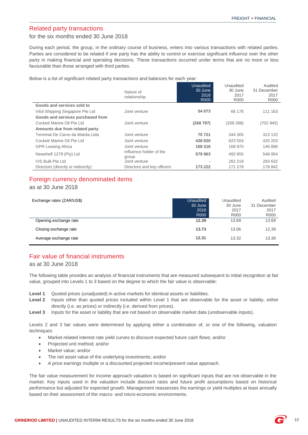### <span id="page-11-0"></span>Related party transactions

#### for the six months ended 30 June 2018

During each period, the group, in the ordinary course of business, enters into various transactions with related parties. Parties are considered to be related if one party has the ability to control or exercise significant influence over the other party in making financial and operating decisions. These transactions occurred under terms that are no more or less favourable than those arranged with third parties.

Below is a list of significant related party transactions and balances for each year:

|                                    | Nature of<br>relationship        | Unaudited<br>30 June<br>2018<br><b>R000</b> | Unaudited<br>30 June<br>2017<br>R000 | Audited<br>31 December<br>2017<br>R000 |
|------------------------------------|----------------------------------|---------------------------------------------|--------------------------------------|----------------------------------------|
| Goods and services sold to         |                                  |                                             |                                      |                                        |
| Vitol Shipping Singapore Pte Ltd   | Joint venture                    | 54 073                                      | 66 176                               | 111 163                                |
| Goods and services purchased from  |                                  |                                             |                                      |                                        |
| Cockett Marine Oil Pte Ltd         | Joint venture                    | (268797)                                    | (338 288)                            | (702945)                               |
| Amounts due from related party     |                                  |                                             |                                      |                                        |
| Terminal De Carvo da Matola Ltda   | Joint venture                    | 75 721                                      | 344 305                              | 313 132                                |
| Cockett Marine Oil Pte Ltd         | Joint venture                    | 438 830                                     | 623 504                              | 420 203                                |
| <b>GPR Leasing Africa</b>          | Joint venture                    | 168 316                                     | 168 970                              | 146 896                                |
| Newshelf 1279 (Pty) Ltd            | Influence holder of the<br>group | 579 963                                     | 492 855                              | 548 954                                |
| <b>IVS Bulk Pte Ltd</b>            | Joint venture                    | ٠                                           | 262 219                              | 283 632                                |
| Directors (directly or indirectly) | Directors and key officers       | 173 222                                     | 171 278                              | 178 842                                |

### Foreign currency denominated items

### as at 30 June 2018

| Exchange rates (ZAR/US\$) | Unaudited<br>30 June<br>2018<br>R000 | Unaudited<br>30 June<br>2017<br>R000 | Audited<br>31 December<br>2017<br><b>R000</b> |
|---------------------------|--------------------------------------|--------------------------------------|-----------------------------------------------|
| Opening exchange rate     | 12.39                                | 13.69                                | 13.69                                         |
| Closing exchange rate     | 13.73                                | 13.06                                | 12.39                                         |
| Average exchange rate     | 12.31                                | 13.32                                | 13.36                                         |

### <span id="page-11-1"></span>Fair value of financial instruments

### as at 30 June 2018

The following table provides an analysis of financial instruments that are measured subsequent to initial recognition at fair value, grouped into Levels 1 to 3 based on the degree to which the fair value is observable:

- **Level 1** Quoted prices (unadjusted) in active markets for identical assets or liabilities.
- Level 2 Inputs other than quoted prices included within Level 1 that are observable for the asset or liability, either directly (i.e. as prices) or indirectly (i.e. derived from prices).
- Level 3 Inputs for the asset or liability that are not based on observable market data (unobservable inputs).

Levels 2 and 3 fair values were determined by applying either a combination of, or one of the following, valuation techniques:

- Market-related interest rate yield curves to discount expected future cash flows; and/or
- Projected unit method; and/or
- Market value; and/or
- The net asset value of the underlying investments; and/or
- A price earnings multiple or a discounted projected income/present value approach.

The fair value measurement for income approach valuation is based on significant inputs that are not observable in the market. Key inputs used in the valuation include discount rates and future profit assumptions based on historical performance but adjusted for expected growth. Management reassesses the earnings or yield multiples at least annually based on their assessment of the macro- and micro-economic environments.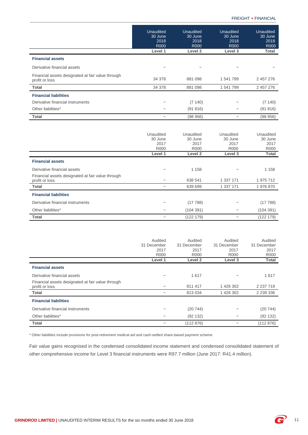|                                                                     | <b>Unaudited</b><br>30 June<br>2018<br><b>R000</b><br>Level 1 | <b>Unaudited</b><br>30 June<br>2018<br><b>R000</b><br>Level <sub>2</sub> | Unaudited<br>30 June<br>2018<br><b>R000</b><br>Level 3 | Unaudited<br>30 June<br>2018<br><b>R000</b><br>Total |
|---------------------------------------------------------------------|---------------------------------------------------------------|--------------------------------------------------------------------------|--------------------------------------------------------|------------------------------------------------------|
| <b>Financial assets</b>                                             |                                                               |                                                                          |                                                        |                                                      |
| Derivative financial assets                                         | -                                                             |                                                                          |                                                        |                                                      |
| Financial assets designated at fair value through<br>profit or loss | 34 378                                                        | 881 098                                                                  | 1 541 799                                              | 2 457 276                                            |
| Total                                                               | 34 378                                                        | 881 098                                                                  | 1 541 799                                              | 2 457 276                                            |
| <b>Financial liabilities</b>                                        |                                                               |                                                                          |                                                        |                                                      |
| Derivative financial instruments                                    |                                                               | (7140)                                                                   |                                                        | (7140)                                               |
| Other liabilities*                                                  |                                                               | (91816)                                                                  |                                                        | (91 816)                                             |
| Total                                                               |                                                               | (98956)                                                                  | -                                                      | (98956)                                              |
|                                                                     |                                                               |                                                                          |                                                        |                                                      |

|                                                   | Unaudited | Unaudited   | Unaudited   | Unaudited    |
|---------------------------------------------------|-----------|-------------|-------------|--------------|
|                                                   | 30 June   | 30 June     | 30 June     | 30 June      |
|                                                   | 2017      | 2017        | 2017        | 2017         |
|                                                   | R000      | <b>R000</b> | <b>R000</b> | R000         |
|                                                   | Level 1   | Level 2     | Level 3     | <b>Total</b> |
| <b>Financial assets</b>                           |           |             |             |              |
| Derivative financial assets                       |           | 1 1 5 8     |             | 1 1 5 8      |
| Financial assets designated at fair value through |           |             |             |              |
| profit or loss                                    |           | 638 541     | 1 337 171   | 1 975 712    |
| <b>Total</b>                                      |           | 639 699     | 1 337 171   | 1976870      |
| <b>Financial liabilities</b>                      |           |             |             |              |
| Derivative financial instruments                  |           | (17788)     |             | (17788)      |
| Other liabilities*                                |           | (104391)    |             | (104391)     |
| <b>Total</b>                                      |           | (122 179)   |             | (122 179)    |

|                                                                     | Audited<br>31 December<br>2017<br><b>R000</b> | Audited<br>31 December<br>2017<br>R000 | Audited<br>31 December<br>2017<br>R000 | Audited<br>31 December<br>2017<br><b>R000</b> |
|---------------------------------------------------------------------|-----------------------------------------------|----------------------------------------|----------------------------------------|-----------------------------------------------|
|                                                                     | Level 1                                       | Level 2                                | Level 3                                | Total                                         |
| <b>Financial assets</b>                                             |                                               |                                        |                                        |                                               |
| Derivative financial assets                                         |                                               | 1617                                   |                                        | 1617                                          |
| Financial assets designated at fair value through<br>profit or loss |                                               | 811 417                                | 1 426 302                              | 2 2 3 7 1 9                                   |
| Total                                                               |                                               | 813 034                                | 1 426 302                              | 2 2 3 3 3 3 6                                 |
| <b>Financial liabilities</b>                                        |                                               |                                        |                                        |                                               |
| Derivative financial instruments                                    |                                               | (20744)                                |                                        | (20744)                                       |
| Other liabilities*                                                  |                                               | (92 132)                               |                                        | (92 132)                                      |
| Total                                                               |                                               | (112 876)                              |                                        | (112 876)                                     |

\* Other liabilities include provisions for post-retirement medical aid and cash-settled share-based payment scheme

Fair value gains recognised in the condensed consolidated income statement and condensed consolidated statement of other comprehensive income for Level 3 financial instruments were R97.7 million (June 2017: R41.4 million).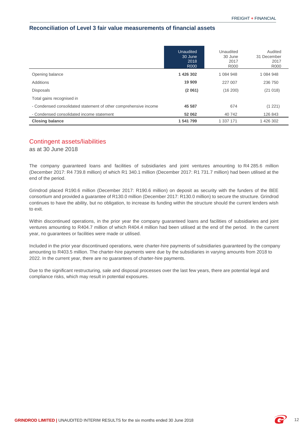#### **Reconciliation of Level 3 fair value measurements of financial assets**

|                                                                  | Unaudited<br>30 June<br>2018<br><b>R000</b> | Unaudited<br>30 June<br>2017<br><b>R000</b> | Audited<br>31 December<br>2017<br>R000 |
|------------------------------------------------------------------|---------------------------------------------|---------------------------------------------|----------------------------------------|
| Opening balance                                                  | 1 426 302                                   | 1 084 948                                   | 1 084 948                              |
| Additions                                                        | 19 909                                      | 227 007                                     | 236 750                                |
| <b>Disposals</b>                                                 | (2061)                                      | (16 200)                                    | (21018)                                |
| Total gains recognised in                                        |                                             |                                             |                                        |
| - Condensed consolidated statement of other comprehensive income | 45 587                                      | 674                                         | (1 221)                                |
| - Condensed consolidated income statement                        | 52 062                                      | 40 742                                      | 126 843                                |
| <b>Closing balance</b>                                           | 1 541 799                                   | 1 337 171                                   | 1 426 302                              |

#### <span id="page-13-0"></span>Contingent assets/liabilities

as at 30 June 2018

The company guaranteed loans and facilities of subsidiaries and joint ventures amounting to R4 285.6 million (December 2017: R4 739.8 million) of which R1 340.1 million (December 2017: R1 731.7 million) had been utilised at the end of the period.

Grindrod placed R190.6 million (December 2017: R190.6 million) on deposit as security with the funders of the BEE consortium and provided a guarantee of R130.0 million (December 2017: R130.0 million) to secure the structure. Grindrod continues to have the ability, but no obligation, to increase its funding within the structure should the current lenders wish to exit.

Within discontinued operations, in the prior year the company guaranteed loans and facilities of subsidiaries and joint ventures amounting to R404.7 million of which R404.4 million had been utilised at the end of the period. In the current year, no guarantees or facilities were made or utilised.

Included in the prior year discontinued operations, were charter-hire payments of subsidiaries guaranteed by the company amounting to R403.5 million. The charter-hire payments were due by the subsidiaries in varying amounts from 2018 to 2022. In the current year, there are no guarantees of charter-hire payments.

Due to the significant restructuring, sale and disposal processes over the last few years, there are potential legal and compliance risks, which may result in potential exposures.

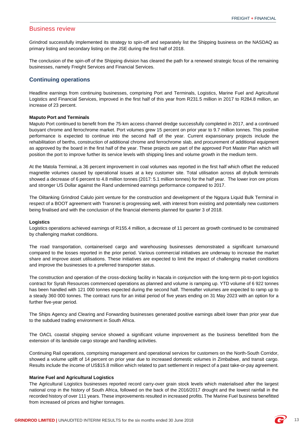#### <span id="page-14-0"></span>Business review

Grindrod successfully implemented its strategy to spin-off and separately list the Shipping business on the NASDAQ as primary listing and secondary listing on the JSE during the first half of 2018.

The conclusion of the spin-off of the Shipping division has cleared the path for a renewed strategic focus of the remaining businesses, namely Freight Services and Financial Services.

#### **Continuing operations**

Headline earnings from continuing businesses, comprising Port and Terminals, Logistics, Marine Fuel and Agricultural Logistics and Financial Services, improved in the first half of this year from R231.5 million in 2017 to R284.8 million, an increase of 23 percent.

#### **Maputo Port and Terminals**

Maputo Port continued to benefit from the 75-km access channel dredge successfully completed in 2017, and a continued buoyant chrome and ferrochrome market. Port volumes grew 15 percent on prior year to 9.7 million tonnes. This positive performance is expected to continue into the second half of the year. Current expansionary projects include the rehabilitation of berths, construction of additional chrome and ferrochrome slab, and procurement of additional equipment as approved by the board in the first half of the year. These projects are part of the approved Port Master Plan which will position the port to improve further its service levels with shipping lines and volume growth in the medium term.

At the Matola Terminal, a 36 percent improvement in coal volumes was reported in the first half which offset the reduced magnetite volumes caused by operational issues at a key customer site. Total utilisation across all drybulk terminals showed a decrease of 6 percent to 4.8 million tonnes (2017: 5.1 million tonnes) for the half year. The lower iron ore prices and stronger US Dollar against the Rand undermined earnings performance compared to 2017.

The Oiltanking Grindrod Calulo joint venture for the construction and development of the Ngqura Liquid Bulk Terminal in respect of a BOOT agreement with Transnet is progressing well, with interest from existing and potentially new customers being finalised and with the conclusion of the financial elements planned for quarter 3 of 2018.

#### **Logistics**

Logistics operations achieved earnings of R155.4 million, a decrease of 11 percent as growth continued to be constrained by challenging market conditions.

The road transportation, containerised cargo and warehousing businesses demonstrated a significant turnaround compared to the losses reported in the prior period. Various commercial initiatives are underway to increase the market share and improve asset utilisations. These initiatives are expected to limit the impact of challenging market conditions and improve the businesses to a preferred transporter status.

The construction and operation of the cross-docking facility in Nacala in conjunction with the long-term pit-to-port logistics contract for Syrah Resources commenced operations as planned and volume is ramping up. YTD volume of 6 922 tonnes has been handled with 121 000 tonnes expected during the second half. Thereafter volumes are expected to ramp up to a steady 360 000 tonnes. The contract runs for an initial period of five years ending on 31 May 2023 with an option for a further five-year period.

The Ships Agency and Clearing and Forwarding businesses generated positive earnings albeit lower than prior year due to the subdued trading environment in South Africa.

The OACL coastal shipping service showed a significant volume improvement as the business benefitted from the extension of its landside cargo storage and handling activities.

Continuing Rail operations, comprising management and operational services for customers on the North-South Corridor, showed a volume uplift of 14 percent on prior year due to increased domestic volumes in Zimbabwe, and transit cargo. Results include the income of US\$15.8 million which related to part settlement in respect of a past take-or-pay agreement.

#### **Marine Fuel and Agricultural Logistics**

The Agricultural Logistics businesses reported record carry-over grain stock levels which materialised after the largest national crop in the history of South Africa, followed on the back of the 2016/2017 drought and the lowest rainfall in the recorded history of over 111 years. These improvements resulted in increased profits. The Marine Fuel business benefitted from increased oil prices and higher tonnages.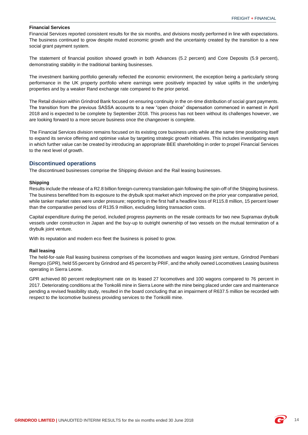#### **Financial Services**

Financial Services reported consistent results for the six months, and divisions mostly performed in line with expectations. The business continued to grow despite muted economic growth and the uncertainty created by the transition to a new social grant payment system.

The statement of financial position showed growth in both Advances (5.2 percent) and Core Deposits (5.9 percent), demonstrating stability in the traditional banking businesses.

The investment banking portfolio generally reflected the economic environment, the exception being a particularly strong performance in the UK property portfolio where earnings were positively impacted by value uplifts in the underlying properties and by a weaker Rand exchange rate compared to the prior period.

The Retail division within Grindrod Bank focused on ensuring continuity in the on-time distribution of social grant payments. The transition from the previous SASSA accounts to a new "open choice" dispensation commenced in earnest in April 2018 and is expected to be complete by September 2018. This process has not been without its challenges however, we are looking forward to a more secure business once the changeover is complete.

The Financial Services division remains focused on its existing core business units while at the same time positioning itself to expand its service offering and optimise value by targeting strategic growth initiatives. This includes investigating ways in which further value can be created by introducing an appropriate BEE shareholding in order to propel Financial Services to the next level of growth.

#### **Discontinued operations**

The discontinued businesses comprise the Shipping division and the Rail leasing businesses.

#### **Shipping**

Results include the release of a R2.8 billion foreign-currency translation gain following the spin-off of the Shipping business. The business benefitted from its exposure to the drybulk spot market which improved on the prior year comparative period, while tanker market rates were under pressure; reporting in the first half a headline loss of R115.8 million, 15 percent lower than the comparative period loss of R135.9 million, excluding listing transaction costs.

Capital expenditure during the period, included progress payments on the resale contracts for two new Supramax drybulk vessels under construction in Japan and the buy-up to outright ownership of two vessels on the mutual termination of a drybulk joint venture.

With its reputation and modern eco fleet the business is poised to grow.

#### **Rail leasing**

The held-for-sale Rail leasing business comprises of the locomotives and wagon leasing joint venture, Grindrod Pembani Remgro (GPR), held 55 percent by Grindrod and 45 percent by PRIF, and the wholly owned Locomotives Leasing business operating in Sierra Leone.

GPR achieved 80 percent redeployment rate on its leased 27 locomotives and 100 wagons compared to 76 percent in 2017. Deteriorating conditions at the Tonkolili mine in Sierra Leone with the mine being placed under care and maintenance pending a revised feasibility study, resulted in the board concluding that an impairment of R637.5 million be recorded with respect to the locomotive business providing services to the Tonkolili mine.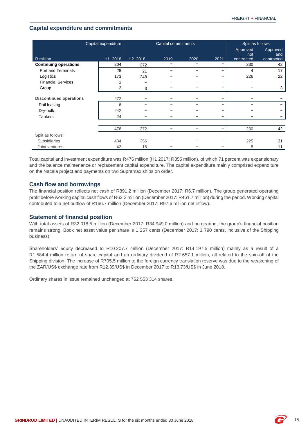### **Capital expenditure and commitments**

| Capital expenditure            |         | Capital commitments |      |      | Split as follows |                 |                 |
|--------------------------------|---------|---------------------|------|------|------------------|-----------------|-----------------|
|                                |         |                     |      |      |                  | Approved<br>not | Approved<br>and |
| R million                      | H1 2018 | H <sub>2</sub> 2018 | 2019 | 2020 | 2021             | contracted      | contracted      |
| <b>Continuing operations</b>   | 204     | 272                 | -    |      | -                | 230             | 42              |
| Port and Terminals             | 28      | 21                  |      |      | -                | 4               | 17              |
| Logistics                      | 173     | 248                 |      |      | -                | 226             | 22              |
| <b>Financial Services</b>      |         |                     |      |      | -                |                 |                 |
| Group                          | 2       | 3                   |      |      | -                |                 | 3               |
| <b>Discontinued operations</b> | 272     |                     |      |      | -                |                 |                 |
| Rail leasing                   | 6       |                     |      |      |                  |                 |                 |
| Dry-bulk                       | 242     |                     |      |      |                  |                 |                 |
| <b>Tankers</b>                 | 24      |                     |      |      | -                |                 |                 |
|                                |         |                     |      |      |                  |                 |                 |
|                                | 476     | 272                 |      |      | -                | 230             | 42              |
| Split as follows:              |         |                     |      |      |                  |                 |                 |
| <b>Subsidiaries</b>            | 434     | 256                 |      |      | -                | 225             | 31              |
| Joint ventures                 | 42      | 16                  |      |      |                  | 5               | 11              |

Total capital and investment expenditure was R476 million (H1 2017: R355 million), of which 71 percent was expansionary and the balance maintenance or replacement capital expenditure. The capital expenditure mainly comprised expenditure on the Nacala project and payments on two Supramax ships on order.

### **Cash flow and borrowings**

The financial position reflects net cash of R891.2 million (December 2017: R6.7 million). The group generated operating profit before working capital cash flows of R62.2 million (December 2017: R461.7 million) during the period. Working capital contributed to a net outflow of R166.7 million (December 2017: R97.6 million net inflow).

#### **Statement of financial position**

With total assets of R32 018.5 million (December 2017: R34 949.0 million) and no gearing, the group's financial position remains strong. Book net asset value per share is 1 257 cents (December 2017: 1 790 cents, inclusive of the Shipping business).

Shareholders' equity decreased to R10 207.7 million (December 2017: R14 197.5 million) mainly as a result of a R1 584.4 million return of share capital and an ordinary dividend of R2 657.1 million, all related to the spin-off of the Shipping division. The increase of R705.5 million to the foreign currency translation reserve was due to the weakening of the ZAR/US\$ exchange rate from R12.39/US\$ in December 2017 to R13.73/US\$ in June 2018.

Ordinary shares in issue remained unchanged at 762 553 314 shares.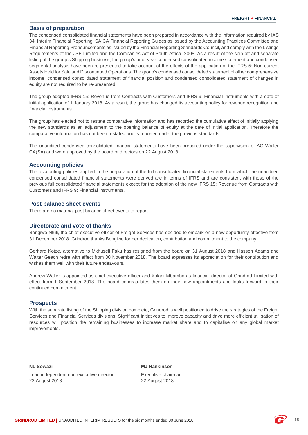#### **Basis of preparation**

The condensed consolidated financial statements have been prepared in accordance with the information required by IAS 34: Interim Financial Reporting, SAICA Financial Reporting Guides as issued by the Accounting Practices Committee and Financial Reporting Pronouncements as issued by the Financial Reporting Standards Council, and comply with the Listings Requirements of the JSE Limited and the Companies Act of South Africa, 2008. As a result of the spin-off and separate listing of the group's Shipping business, the group's prior year condensed consolidated income statement and condensed segmental analysis have been re-presented to take account of the effects of the application of the IFRS 5: Non-current Assets Held for Sale and Discontinued Operations. The group's condensed consolidated statement of other comprehensive income, condensed consolidated statement of financial position and condensed consolidated statement of changes in equity are not required to be re-presented.

The group adopted IFRS 15: Revenue from Contracts with Customers and IFRS 9: Financial Instruments with a date of initial application of 1 January 2018. As a result, the group has changed its accounting policy for revenue recognition and financial instruments.

The group has elected not to restate comparative information and has recorded the cumulative effect of initially applying the new standards as an adjustment to the opening balance of equity at the date of initial application. Therefore the comparative information has not been restated and is reported under the previous standards.

The unaudited condensed consolidated financial statements have been prepared under the supervision of AG Waller CA(SA) and were approved by the board of directors on 22 August 2018.

#### **Accounting policies**

The accounting policies applied in the preparation of the full consolidated financial statements from which the unaudited condensed consolidated financial statements were derived are in terms of IFRS and are consistent with those of the previous full consolidated financial statements except for the adoption of the new IFRS 15: Revenue from Contracts with Customers and IFRS 9: Financial Instruments.

#### **Post balance sheet events**

There are no material post balance sheet events to report.

#### **Directorate and vote of thanks**

Bongiwe Ntuli, the chief executive officer of Freight Services has decided to embark on a new opportunity effective from 31 December 2018. Grindrod thanks Bongiwe for her dedication, contribution and commitment to the company.

Gerhard Kotze, alternative to Mkhuseli Faku has resigned from the board on 31 August 2018 and Hassen Adams and Walter Geach retire with effect from 30 November 2018. The board expresses its appreciation for their contribution and wishes them well with their future endeavours.

Andrew Waller is appointed as chief executive officer and Xolani Mbambo as financial director of Grindrod Limited with effect from 1 September 2018. The board congratulates them on their new appointments and looks forward to their continued commitment.

#### **Prospects**

With the separate listing of the Shipping division complete, Grindrod is well positioned to drive the strategies of the Freight Services and Financial Services divisions. Significant initiatives to improve capacity and drive more efficient utilisation of resources will position the remaining businesses to increase market share and to capitalise on any global market improvements.

Lead independent non-executive director **Executive Chairman** 22 August 2018 22 August 2018

**NL Sowazi MJ Hankinson**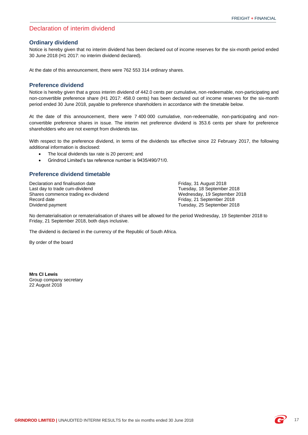### Declaration of interim dividend

#### **Ordinary dividend**

Notice is hereby given that no interim dividend has been declared out of income reserves for the six-month period ended 30 June 2018 (H1 2017: no interim dividend declared).

At the date of this announcement, there were 762 553 314 ordinary shares.

#### **Preference dividend**

Notice is hereby given that a gross interim dividend of 442.0 cents per cumulative, non-redeemable, non-participating and non-convertible preference share (H1 2017: 458.0 cents) has been declared out of income reserves for the six-month period ended 30 June 2018, payable to preference shareholders in accordance with the timetable below.

At the date of this announcement, there were 7 400 000 cumulative, non-redeemable, non-participating and nonconvertible preference shares in issue. The interim net preference dividend is 353.6 cents per share for preference shareholders who are not exempt from dividends tax.

With respect to the preference dividend, in terms of the dividends tax effective since 22 February 2017, the following additional information is disclosed:

- The local dividends tax rate is 20 percent; and
- Grindrod Limited's tax reference number is 9435/490/71/0.

#### <span id="page-18-0"></span>**Preference dividend timetable**

Declaration and finalisation date<br>
Last day to trade cum-dividend<br>
Friday, 31 August 2018<br>
Tuesday, 18 September Shares commence trading ex-dividend Record date **Friday, 21 September 2018**<br>Dividend payment **Friday, 21 September 2018** 

Tuesday, 18 September 2018<br>Wednesday, 19 September 2018 Tuesday, 25 September 2018

No dematerialisation or rematerialisation of shares will be allowed for the period Wednesday, 19 September 2018 to Friday, 21 September 2018, both days inclusive.

The dividend is declared in the currency of the Republic of South Africa.

By order of the board

**Mrs CI Lewis** Group company secretary 22 August 2018